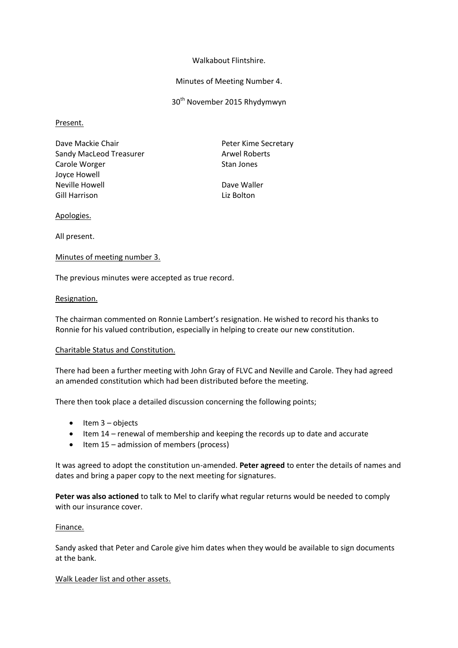## Walkabout Flintshire.

## Minutes of Meeting Number 4.

30<sup>th</sup> November 2015 Rhydymwyn

## Present.

Dave Mackie Chair **Peter Kime Secretary** Sandy MacLeod Treasurer Arwel Roberts Carole Worger **Stan Jones** Stan Jones Joyce Howell Neville Howell **Dave Waller** Gill Harrison **Liz Bolton** 

## Apologies.

All present.

# Minutes of meeting number 3.

The previous minutes were accepted as true record.

## Resignation.

The chairman commented on Ronnie Lambert's resignation. He wished to record his thanks to Ronnie for his valued contribution, especially in helping to create our new constitution.

# Charitable Status and Constitution.

There had been a further meeting with John Gray of FLVC and Neville and Carole. They had agreed an amended constitution which had been distributed before the meeting.

There then took place a detailed discussion concerning the following points;

- $\bullet$  Item 3 objects
- Item 14 renewal of membership and keeping the records up to date and accurate
- $\bullet$  Item 15 admission of members (process)

It was agreed to adopt the constitution un-amended. **Peter agreed** to enter the details of names and dates and bring a paper copy to the next meeting for signatures.

**Peter was also actioned** to talk to Mel to clarify what regular returns would be needed to comply with our insurance cover.

# Finance.

Sandy asked that Peter and Carole give him dates when they would be available to sign documents at the bank.

#### Walk Leader list and other assets.